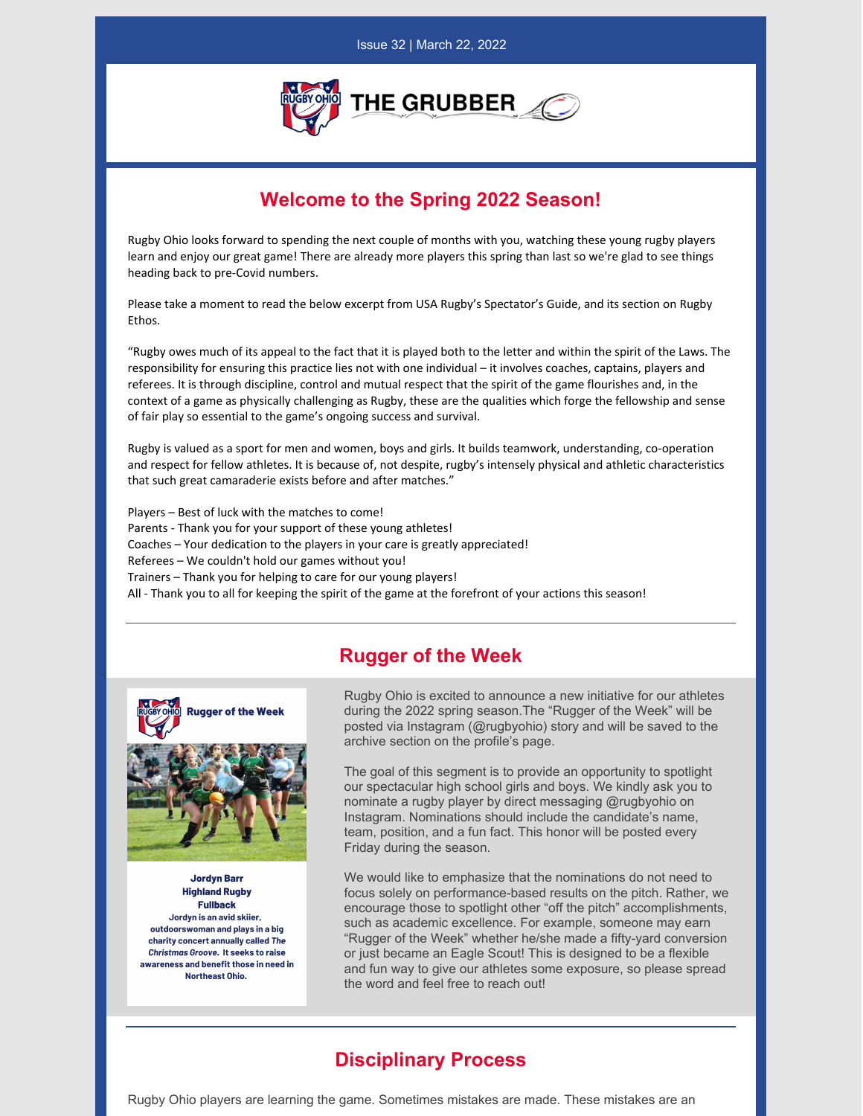

## **Welcome to the Spring 2022 Season!**

Rugby Ohio looks forward to spending the next couple of months with you, watching these young rugby players learn and enjoy our great game! There are already more players this spring than last so we're glad to see things heading back to pre-Covid numbers.

Please take a moment to read the below excerpt from USA Rugby's Spectator's Guide, and its section on Rugby **Ethos** 

"Rugby owes much of its appeal to the fact that it is played both to the letter and within the spirit of the Laws. The responsibility for ensuring this practice lies not with one individual – it involves coaches, captains, players and referees. It is through discipline, control and mutual respect that the spirit of the game flourishes and, in the context of a game as physically challenging as Rugby, these are the qualities which forge the fellowship and sense of fair play so essential to the game's ongoing success and survival.

Rugby is valued as a sport for men and women, boys and girls. It builds teamwork, understanding, co-operation and respect for fellow athletes. It is because of, not despite, rugby's intensely physical and athletic characteristics that such great camaraderie exists before and after matches."

Players – Best of luck with the matches to come! Parents - Thank you for your support of these young athletes! Coaches – Your dedication to the players in your care is greatly appreciated! Referees – We couldn't hold our games without you! Trainers – Thank you for helping to care for our young players! All - Thank you to all for keeping the spirit of the game at the forefront of your actions this season!

## **Rugger of the Week**



**Jordyn Barr Highland Rugby Fullback** Jordyn is an avid skiier, outdoorswoman and plays in a big charity concert annually called The Christmas Groove. It seeks to raise awareness and benefit those in need in Northeast Ohio.

Rugby Ohio is excited to announce a new initiative for our athletes during the 2022 spring season.The "Rugger of the Week" will be posted via Instagram (@rugbyohio) story and will be saved to the archive section on the profile's page.

The goal of this segment is to provide an opportunity to spotlight our spectacular high school girls and boys. We kindly ask you to nominate a rugby player by direct messaging @rugbyohio on Instagram. Nominations should include the candidate's name, team, position, and a fun fact. This honor will be posted every Friday during the season.

We would like to emphasize that the nominations do not need to focus solely on performance-based results on the pitch. Rather, we encourage those to spotlight other "off the pitch" accomplishments, such as academic excellence. For example, someone may earn "Rugger of the Week" whether he/she made a fifty-yard conversion or just became an Eagle Scout! This is designed to be a flexible and fun way to give our athletes some exposure, so please spread the word and feel free to reach out!

## **Disciplinary Process**

Rugby Ohio players are learning the game. Sometimes mistakes are made. These mistakes are an